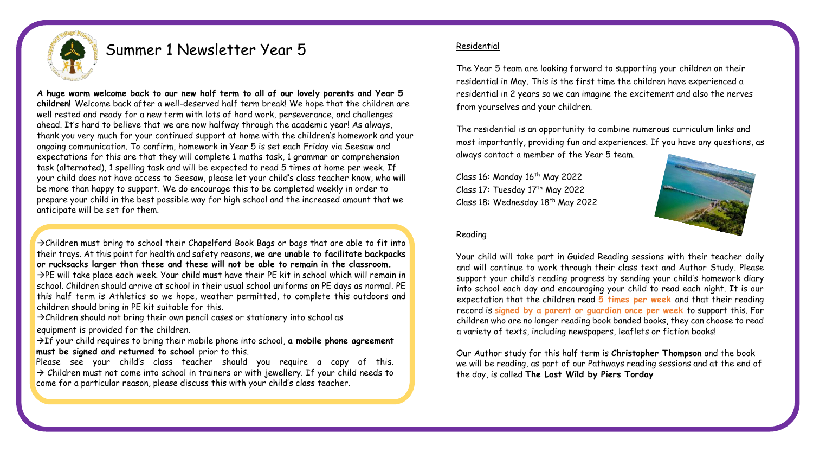

# Summer 1 Newsletter Year 5

**A huge warm welcome back to our new half term to all of our lovely parents and Year 5 children!** Welcome back after a well-deserved half term break! We hope that the children are well rested and ready for a new term with lots of hard work, perseverance, and challenges ahead. It's hard to believe that we are now halfway through the academic year! As always, thank you very much for your continued support at home with the children's homework and your ongoing communication. To confirm, homework in Year 5 is set each Friday via Seesaw and expectations for this are that they will complete 1 maths task, 1 grammar or comprehension task (alternated), 1 spelling task and will be expected to read 5 times at home per week. If your child does not have access to Seesaw, please let your child's class teacher know, who will be more than happy to support. We do encourage this to be completed weekly in order to prepare your child in the best possible way for high school and the increased amount that we anticipate will be set for them.

 $\rightarrow$ Children must bring to school their Chapelford Book Bags or bags that are able to fit into their trays. At this point for health and safety reasons, **we are unable to facilitate backpacks or rucksacks larger than these and these will not be able to remain in the classroom.**  →PE will take place each week. Your child must have their PE kit in school which will remain in

school. Children should arrive at school in their usual school uniforms on PE days as normal. PE this half term is Athletics so we hope, weather permitted, to complete this outdoors and children should bring in PE kit suitable for this.

 $\rightarrow$ Children should not bring their own pencil cases or stationery into school as

equipment is provided for the children.

→If your child requires to bring their mobile phone into school, **a mobile phone agreement must be signed and returned to school** prior to this.

Please see your child's class teacher should you require a copy of this.  $\rightarrow$  Children must not come into school in trainers or with jewellery. If your child needs to come for a particular reason, please discuss this with your child's class teacher.

## Residential

The Year 5 team are looking forward to supporting your children on their residential in May. This is the first time the children have experienced a residential in 2 years so we can imagine the excitement and also the nerves from yourselves and your children.

The residential is an opportunity to combine numerous curriculum links and most importantly, providing fun and experiences. If you have any questions, as always contact a member of the Year 5 team.

Class 16: Monday  $16<sup>th</sup>$  May 2022 Class 17: Tuesday 17<sup>th</sup> May 2022 Class 18: Wednesday  $18<sup>th</sup>$  May 2022



## Reading

Your child will take part in Guided Reading sessions with their teacher daily and will continue to work through their class text and Author Study. Please support your child's reading progress by sending your child's homework diary into school each day and encouraging your child to read each night. It is our expectation that the children read **5 times per week** and that their reading record is **signed by a parent or guardian once per week** to support this. For children who are no longer reading book banded books, they can choose to read a variety of texts, including newspapers, leaflets or fiction books!

Our Author study for this half term is **Christopher Thompson** and the book we will be reading, as part of our Pathways reading sessions and at the end of the day, is called **The Last Wild by Piers Torday**